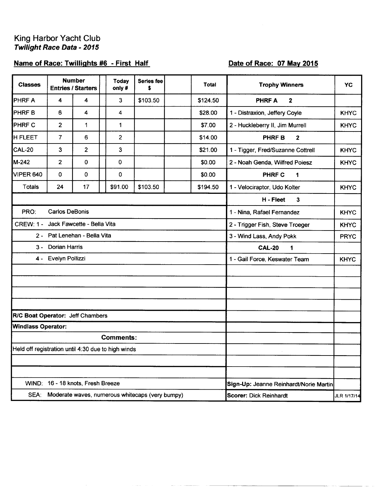# King Harbor Yacht Club<br>Twilight Race Data - 2015

# Name of Race: Twillights #6 - First Half

## Date of Race: 07 May 2015

| <b>Classes</b>                                       |                       | <b>Number</b><br><b>Entries / Starters</b> | <b>Today</b><br>only# | Series fee<br>\$              |             | Total                                  | <b>Trophy Winners</b>                          | YC          |  |  |
|------------------------------------------------------|-----------------------|--------------------------------------------|-----------------------|-------------------------------|-------------|----------------------------------------|------------------------------------------------|-------------|--|--|
| <b>PHRFA</b>                                         | 4                     | 4                                          | 3                     | \$103.50                      |             | \$124.50                               | <b>PHRFA</b><br>$\mathbf{2}$                   |             |  |  |
| <b>PHRFB</b>                                         | 6                     | 4                                          | 4                     |                               |             | \$28.00                                | 1 - Distraxion, Jeffery Coyle                  | <b>KHYC</b> |  |  |
| PHRF C                                               | $\overline{2}$        | 1                                          | 1                     |                               |             | \$7.00                                 | 2 - Huckleberry II, Jim Murrell                | <b>KHYC</b> |  |  |
| <b>H FLEET</b>                                       | 7                     | 6                                          | $\overline{c}$        |                               |             | \$14.00                                | <b>PHRFB</b><br>2                              |             |  |  |
| CAL-20                                               | 3                     | $\overline{c}$                             | 3                     |                               |             | \$21.00                                | 1 - Tigger, Fred/Suzanne Cottrell              | <b>KHYC</b> |  |  |
| M-242                                                | $\overline{2}$        | 0                                          | 0                     |                               |             | \$0.00                                 | 2 - Noah Genda, Wilfred Poiesz                 | <b>KHYC</b> |  |  |
| VIPER 640                                            | $\mathbf 0$           | 0                                          | 0                     |                               |             | \$0.00                                 | <b>PHRF C</b><br>1                             |             |  |  |
| <b>Totals</b>                                        | 24                    | 17                                         | \$91.00               | \$103.50                      |             | \$194.50                               | 1 - Velociraptor, Udo Kolter                   | <b>KHYC</b> |  |  |
|                                                      |                       |                                            |                       |                               |             |                                        | H - Fleet<br>$\mathbf{3}$                      |             |  |  |
| PRO:                                                 | <b>Carlos DeBonis</b> |                                            |                       |                               |             |                                        | 1 - Nina, Rafael Fernandez                     | <b>KHYC</b> |  |  |
| <b>CREW: 1 -</b><br>Jack Fawcette - Bella Vita       |                       |                                            |                       |                               |             |                                        | 2 - Trigger Fish, Steve Troeger<br><b>KHYC</b> |             |  |  |
|                                                      |                       | 2 - Pat Lenehan - Bella Vita               |                       | 3 - Wind Lass, Andy Pokk      | <b>PRYC</b> |                                        |                                                |             |  |  |
| 3 -                                                  | <b>Dorian Harris</b>  |                                            |                       | <b>CAL-20</b><br>1            |             |                                        |                                                |             |  |  |
| 4 -                                                  | Evelyn Pollizzi       |                                            |                       | 1 - Gail Force, Keswater Team | <b>KHYC</b> |                                        |                                                |             |  |  |
|                                                      |                       |                                            |                       |                               |             |                                        |                                                |             |  |  |
|                                                      |                       |                                            |                       |                               |             |                                        |                                                |             |  |  |
|                                                      |                       |                                            |                       |                               |             |                                        |                                                |             |  |  |
|                                                      |                       |                                            |                       |                               |             |                                        |                                                |             |  |  |
| R/C Boat Operator: Jeff Chambers                     |                       |                                            |                       |                               |             |                                        |                                                |             |  |  |
| <b>Windlass Operator:</b>                            |                       |                                            |                       |                               |             |                                        |                                                |             |  |  |
|                                                      |                       |                                            | <b>Comments:</b>      |                               |             |                                        |                                                |             |  |  |
| Held off registration until 4:30 due to high winds   |                       |                                            |                       |                               |             |                                        |                                                |             |  |  |
|                                                      |                       |                                            |                       |                               |             |                                        |                                                |             |  |  |
|                                                      |                       |                                            |                       |                               |             |                                        |                                                |             |  |  |
| WIND: 16 - 18 knots, Fresh Breeze                    |                       |                                            |                       |                               |             | Sign-Up: Jeanne Reinhardt/Norie Martin |                                                |             |  |  |
| SEA: Moderate waves, numerous whitecaps (very bumpy) |                       |                                            |                       |                               |             |                                        | <b>Scorer: Dick Reinhardt</b><br>JLR 1/17/14   |             |  |  |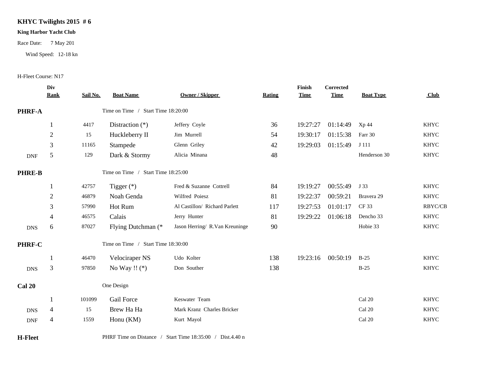## **KHYC Twilights 2015 # 6**

#### **King Harbor Yacht Club**

Race Date: 7 May 201

Wind Speed: 12-18 kn

### H-Fleet Course: N17

|               | Div<br><b>Rank</b> | Sail No. | <b>Boat Name</b>                   | <b>Owner / Skipper</b>                                    | Rating | Finish<br><b>Time</b> | <b>Corrected</b><br><b>Time</b> | <b>Boat Type</b> | Club        |  |
|---------------|--------------------|----------|------------------------------------|-----------------------------------------------------------|--------|-----------------------|---------------------------------|------------------|-------------|--|
| PHRF-A        |                    |          | Time on Time / Start Time 18:20:00 |                                                           |        |                       |                                 |                  |             |  |
|               | 1                  | 4417     | Distraction $(*)$                  | Jeffery Coyle                                             | 36     | 19:27:27              | 01:14:49                        | Xp 44            | <b>KHYC</b> |  |
|               | $\boldsymbol{2}$   | 15       | Huckleberry II                     | Jim Murrell                                               | 54     | 19:30:17              | 01:15:38                        | Farr 30          | <b>KHYC</b> |  |
|               | 3                  | 11165    | Stampede                           | Glenn Griley                                              | 42     | 19:29:03              | 01:15:49                        | J 111            | <b>KHYC</b> |  |
| <b>DNF</b>    | $\sqrt{5}$         | 129      | Dark & Stormy                      | Alicia Minana                                             | 48     |                       |                                 | Henderson 30     | <b>KHYC</b> |  |
| <b>PHRE-B</b> |                    |          | Time on Time / Start Time 18:25:00 |                                                           |        |                       |                                 |                  |             |  |
|               |                    | 42757    | Tigger $(*)$                       | Fred & Suzanne Cottrell                                   | 84     | 19:19:27              | 00:55:49                        | J 33             | <b>KHYC</b> |  |
|               | $\overline{2}$     | 46879    | Noah Genda                         | Wilfred Poiesz                                            | 81     | 19:22:37              | 00:59:21                        | Bravera 29       | <b>KHYC</b> |  |
|               | 3                  | 57990    | Hot Rum                            | Al Castillon/ Richard Parlett                             | 117    | 19:27:53              | 01:01:17                        | CF 33            | RBYC/CB     |  |
|               | 4                  | 46575    | Calais                             | Jerry Hunter                                              | 81     | 19:29:22              | 01:06:18                        | Dencho 33        | <b>KHYC</b> |  |
| <b>DNS</b>    | 6                  | 87027    | Flying Dutchman (*                 | Jason Herring/ R.Van Kreuninge                            | 90     |                       |                                 | Hobie 33         | <b>KHYC</b> |  |
| PHRF-C        |                    |          | Time on Time / Start Time 18:30:00 |                                                           |        |                       |                                 |                  |             |  |
|               |                    | 46470    | Velociraper NS                     | Udo Kolter                                                | 138    | 19:23:16              | 00:50:19                        | $B-25$           | <b>KHYC</b> |  |
| <b>DNS</b>    | 3                  | 97850    | No Way !! $(*)$                    | Don Souther                                               | 138    |                       |                                 | $B-25$           | <b>KHYC</b> |  |
| <b>Cal 20</b> |                    |          | One Design                         |                                                           |        |                       |                                 |                  |             |  |
|               |                    | 101099   | Gail Force                         | Keswater Team                                             |        |                       |                                 | Cal 20           | <b>KHYC</b> |  |
| <b>DNS</b>    | $\overline{4}$     | 15       | Brew Ha Ha                         | Mark Kranz Charles Bricker                                |        |                       |                                 | Cal 20           | <b>KHYC</b> |  |
| <b>DNF</b>    | $\overline{4}$     | 1559     | Honu (KM)                          | Kurt Mayol                                                |        |                       |                                 | Cal 20           | <b>KHYC</b> |  |
| H-Fleet       |                    |          |                                    | PHRF Time on Distance / Start Time 18:35:00 / Dist.4.40 n |        |                       |                                 |                  |             |  |